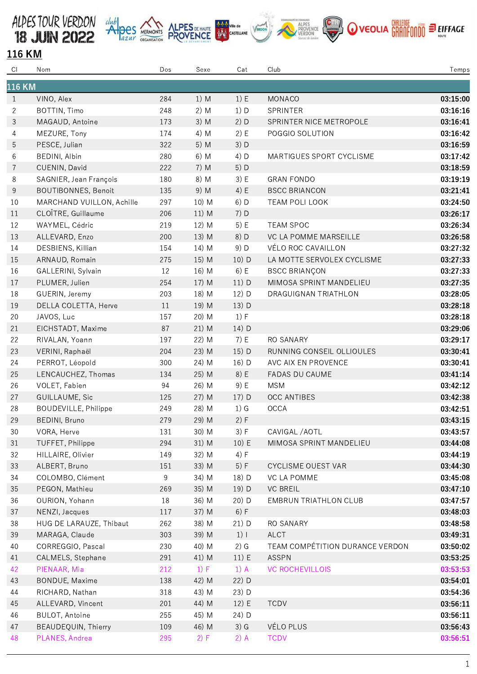







## 116 KM

| CI             | Nom                         | Dos | Sexe   | Cat     | Club                            | Temps    |  |  |
|----------------|-----------------------------|-----|--------|---------|---------------------------------|----------|--|--|
| <b>116 KM</b>  |                             |     |        |         |                                 |          |  |  |
| $\mathbf{1}$   | VINO, Alex                  | 284 | 1) M   | 1) E    | MONACO                          | 03:15:00 |  |  |
| $\overline{2}$ | BOTTIN, Timo                | 248 | $2)$ M | 1) D    | SPRINTER                        | 03:16:16 |  |  |
| 3              | MAGAUD, Antoine             | 173 | $3)$ M | 2) D    | SPRINTER NICE METROPOLE         | 03:16:41 |  |  |
| 4              | MEZURE, Tony                | 174 | 4) M   | 2) E    | POGGIO SOLUTION                 | 03:16:42 |  |  |
| 5              | PESCE, Julian               | 322 | 5) M   | 3) D    |                                 | 03:16:59 |  |  |
| 6              | BEDINI, Albin               | 280 | 6) M   | 4) D    | MARTIGUES SPORT CYCLISME        | 03:17:42 |  |  |
| $\overline{7}$ | CUENIN, David               | 222 | $7)$ M | $5)$ D  |                                 | 03:18:59 |  |  |
| 8              | SAGNIER, Jean François      | 180 | 8) M   | 3) E    | <b>GRAN FONDO</b>               | 03:19:19 |  |  |
| 9              | <b>BOUTIBONNES, Benoit</b>  | 135 | 9) M   | 4) E    | <b>BSCC BRIANCON</b>            | 03:21:41 |  |  |
| 10             | MARCHAND VUILLON, Achille   | 297 | 10) M  | $6)$ D  | TEAM POLI LOOK                  | 03:24:50 |  |  |
| 11             | CLOÎTRE, Guillaume          | 206 | 11) M  | 7) D    |                                 | 03:26:17 |  |  |
| 12             | WAYMEL, Cédric              | 219 | 12) M  | 5) E    | <b>TEAM SPOC</b>                | 03:26:34 |  |  |
| 13             | ALLEVARD, Enzo              | 200 | 13) M  | 8) D    | VC LA POMME MARSEILLE           | 03:26:58 |  |  |
| 14             | DESBIENS, Killian           | 154 | 14) M  | 9) D    | VÉLO ROC CAVAILLON              | 03:27:32 |  |  |
| 15             | ARNAUD, Romain              | 275 | 15) M  | $10)$ D | LA MOTTE SERVOLEX CYCLISME      | 03:27:33 |  |  |
| 16             | GALLERINI, Sylvain          | 12  | 16) M  | 6) E    | <b>BSCC BRIANÇON</b>            | 03:27:33 |  |  |
| 17             | PLUMER, Julien              | 254 | 17) M  | 11) D   | MIMOSA SPRINT MANDELIEU         | 03:27:35 |  |  |
| 18             | GUERIN, Jeremy              | 203 | 18) M  | 12) D   | DRAGUIGNAN TRIATHLON            | 03:28:05 |  |  |
| 19             | DELLA COLETTA, Herve        | 11  | 19) M  | 13) D   |                                 | 03:28:18 |  |  |
| 20             | JAVOS, Luc                  | 157 | 20) M  | 1) F    |                                 | 03:28:18 |  |  |
| 21             | EICHSTADT, Maxime           | 87  | 21) M  | 14) D   |                                 | 03:29:06 |  |  |
| 22             | RIVALAN, Yoann              | 197 | 22) M  | 7) E    | RO SANARY                       | 03:29:17 |  |  |
| 23             | VERINI, Raphaël             | 204 | 23) M  | 15) D   | RUNNING CONSEIL OLLIOULES       | 03:30:41 |  |  |
| 24             | PERROT, Léopold             | 300 | 24) M  | 16) D   | AVC AIX EN PROVENCE             | 03:30:41 |  |  |
| 25             | LENCAUCHEZ, Thomas          | 134 | 25) M  | 8) E    | FADAS DU CAUME                  | 03:41:14 |  |  |
| 26             | VOLET, Fabien               | 94  | 26) M  | 9) E    | <b>MSM</b>                      | 03:42:12 |  |  |
| 27             | <b>GUILLAUME, Sic</b>       | 125 | 27) M  | 17) D   | <b>OCC ANTIBES</b>              | 03:42:38 |  |  |
| 28             | <b>BOUDEVILLE, Philippe</b> | 249 | 28) M  | $1)$ G  | OCCA                            | 03:42:51 |  |  |
| 29             | BEDINI, Bruno               | 279 | 29) M  | 2) F    |                                 | 03:43:15 |  |  |
| 30             | VORA, Herve                 | 131 | 30) M  | 3) F    | CAVIGAL / AOTL                  | 03:43:57 |  |  |
| 31             | TUFFET, Philippe            | 294 | 31) M  | 10) E   | MIMOSA SPRINT MANDELIEU         | 03:44:08 |  |  |
| 32             | HILLAIRE, Olivier           | 149 | 32) M  | 4) F    |                                 | 03:44:19 |  |  |
| 33             | ALBERT, Bruno               | 151 | 33) M  | 5) F    | <b>CYCLISME OUEST VAR</b>       | 03:44:30 |  |  |
| 34             | COLOMBO, Clément            | 9   | 34) M  | 18) D   | VC LA POMME                     | 03:45:08 |  |  |
| 35             | PEGON, Mathieu              | 269 | 35) M  | 19) D   | <b>VC BREIL</b>                 | 03:47:10 |  |  |
| 36             | OURION, Yohann              | 18  | 36) M  | 20) D   | <b>EMBRUN TRIATHLON CLUB</b>    | 03:47:57 |  |  |
| 37             | NENZI, Jacques              | 117 | 37) M  | 6) F    |                                 | 03:48:03 |  |  |
| 38             | HUG DE LARAUZE, Thibaut     | 262 | 38) M  | 21) D   | RO SANARY                       | 03:48:58 |  |  |
| 39             | MARAGA, Claude              | 303 | 39) M  | $1)$    | <b>ALCT</b>                     | 03:49:31 |  |  |
| 40             | CORREGGIO, Pascal           | 230 | 40) M  | $2)$ G  | TEAM COMPÉTITION DURANCE VERDON | 03:50:02 |  |  |
| 41             | CALMELS, Stephane           | 291 | 41) M  | 11) E   | <b>ASSPN</b>                    | 03:53:25 |  |  |
| 42             | PIENAAR, Mia                | 212 | 1) F   | $1)$ A  | <b>VC ROCHEVILLOIS</b>          | 03:53:53 |  |  |
| 43             | BONDUE, Maxime              | 138 | 42) M  | 22) D   |                                 | 03:54:01 |  |  |
| 44             | RICHARD, Nathan             | 318 | 43) M  | 23) D   |                                 | 03:54:36 |  |  |
| 45             | ALLEVARD, Vincent           | 201 | 44) M  | 12) E   | <b>TCDV</b>                     | 03:56:11 |  |  |
| 46             | <b>BULOT, Antoine</b>       | 255 | 45) M  | 24) D   |                                 | 03:56:11 |  |  |
| 47             | <b>BEAUDEQUIN, Thierry</b>  | 109 | 46) M  | $3)$ G  | VÉLO PLUS                       | 03:56:43 |  |  |
| 48             | PLANES, Andrea              | 295 | 2) F   | $2)$ A  | <b>TCDV</b>                     | 03:56:51 |  |  |
|                |                             |     |        |         |                                 |          |  |  |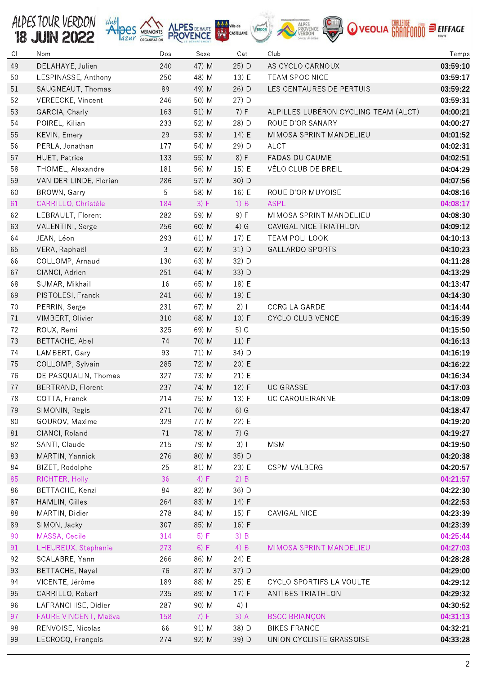

| C1 | Nom                    | Dos | Sexe  | Cat    | Club                                 | Temps    |
|----|------------------------|-----|-------|--------|--------------------------------------|----------|
| 49 | DELAHAYE, Julien       | 240 | 47) M | 25) D  | AS CYCLO CARNOUX                     | 03:59:10 |
| 50 | LESPINASSE, Anthony    | 250 | 48) M | 13) E  | TEAM SPOC NICE                       | 03:59:17 |
| 51 | SAUGNEAUT, Thomas      | 89  | 49) M | 26) D  | LES CENTAURES DE PERTUIS             | 03:59:22 |
| 52 | VEREECKE, Vincent      | 246 | 50) M | 27) D  |                                      | 03:59:31 |
| 53 | GARCIA, Charly         | 163 | 51) M | 7) F   | ALPILLES LUBÉRON CYCLING TEAM (ALCT) | 04:00:21 |
| 54 | POIREL, Kilian         | 233 | 52) M | 28) D  | ROUE D'OR SANARY                     | 04:00:27 |
| 55 | KEVIN, Emery           | 29  | 53) M | 14) E  | MIMOSA SPRINT MANDELIEU              | 04:01:52 |
| 56 | PERLA, Jonathan        | 177 | 54) M | 29) D  | <b>ALCT</b>                          | 04:02:31 |
| 57 | HUET, Patrice          | 133 | 55) M | 8) F   | FADAS DU CAUME                       | 04:02:51 |
| 58 | THOMEL, Alexandre      | 181 | 56) M | 15) E  | VÉLO CLUB DE BREIL                   | 04:04:29 |
| 59 | VAN DER LINDE, Florian | 286 | 57) M | 30) D  |                                      | 04:07:56 |
| 60 | BROWN, Garry           | 5   | 58) M | 16) E  | ROUE D'OR MUYOISE                    | 04:08:16 |
| 61 | CARRILLO, Christèle    | 184 | 3) F  | 1) B   | <b>ASPL</b>                          | 04:08:17 |
| 62 | LEBRAULT, Florent      | 282 | 59) M | 9) F   | MIMOSA SPRINT MANDELIEU              | 04:08:30 |
| 63 | VALENTINI, Serge       | 256 | 60) M | $4)$ G | CAVIGAL NICE TRIATHLON               | 04:09:12 |
| 64 | JEAN, Léon             | 293 | 61) M | 17) E  | TEAM POLI LOOK                       | 04:10:13 |
| 65 | VERA, Raphaël          | 3   | 62) M | 31) D  | <b>GALLARDO SPORTS</b>               | 04:10:23 |
| 66 | COLLOMP, Arnaud        | 130 | 63) M | 32) D  |                                      | 04:11:28 |
| 67 | CIANCI, Adrien         | 251 | 64) M | 33) D  |                                      | 04:13:29 |
| 68 | SUMAR, Mikhail         | 16  | 65) M | 18) E  |                                      | 04:13:47 |
| 69 | PISTOLESI, Franck      | 241 | 66) M | 19) E  |                                      | 04:14:30 |
| 70 | PERRIN, Serge          | 231 | 67) M | 2)1    | <b>CCRG LA GARDE</b>                 | 04:14:44 |
| 71 | VIMBERT, Olivier       | 310 | 68) M | 10) F  | CYCLO CLUB VENCE                     | 04:15:39 |
|    |                        |     |       |        |                                      |          |
| 72 | ROUX, Remi             | 325 | 69) M | $5)$ G |                                      | 04:15:50 |
| 73 | BETTACHE, Abel         | 74  | 70) M | 11) F  |                                      | 04:16:13 |
| 74 | LAMBERT, Gary          | 93  | 71) M | 34) D  |                                      | 04:16:19 |
| 75 | COLLOMP, Sylvain       | 285 | 72) M | 20) E  |                                      | 04:16:22 |
| 76 | DE PASQUALIN, Thomas   | 327 | 73) M | 21) E  |                                      | 04:16:34 |
| 77 | BERTRAND, Florent      | 237 | 74) M | 12) F  | <b>UC GRASSE</b>                     | 04:17:03 |
| 78 | COTTA, Franck          | 214 | 75) M | 13) F  | UC CARQUEIRANNE                      | 04:18:09 |
| 79 | SIMONIN, Regis         | 271 | 76) M | $6)$ G |                                      | 04:18:47 |
| 80 | GOUROV, Maxime         | 329 | 77) M | 22) E  |                                      | 04:19:20 |
| 81 | CIANCI, Roland         | 71  | 78) M | $7)$ G |                                      | 04:19:27 |
| 82 | SANTI, Claude          | 215 | 79) M | 3)1    | <b>MSM</b>                           | 04:19:50 |
| 83 | MARTIN, Yannick        | 276 | 80) M | 35) D  |                                      | 04:20:38 |
| 84 | BIZET, Rodolphe        | 25  | 81) M | 23) E  | <b>CSPM VALBERG</b>                  | 04:20:57 |
| 85 | RICHTER, Holly         | 36  | 4) F  | $2)$ B |                                      | 04:21:57 |
| 86 | BETTACHE, Kenzi        | 84  | 82) M | 36) D  |                                      | 04:22:30 |
| 87 | HAMLIN, Gilles         | 264 | 83) M | 14) F  |                                      | 04:22:53 |
| 88 | MARTIN, Didier         | 278 | 84) M | 15) F  | CAVIGAL NICE                         | 04:23:39 |
| 89 | SIMON, Jacky           | 307 | 85) M | 16) F  |                                      | 04:23:39 |
| 90 | MASSA, Cecile          | 314 | 5) F  | $3)$ B |                                      | 04:25:44 |
| 91 | LHEUREUX, Stephanie    | 273 | 6) F  | 4) B   | MIMOSA SPRINT MANDELIEU              | 04:27:03 |
| 92 | SCALABRE, Yann         | 266 | 86) M | 24) E  |                                      | 04:28:28 |
| 93 | <b>BETTACHE, Nayel</b> | 76  | 87) M | 37) D  |                                      | 04:29:00 |
| 94 | VICENTE, Jérôme        | 189 | 88) M | 25) E  | CYCLO SPORTIFS LA VOULTE             | 04:29:12 |
| 95 | CARRILLO, Robert       | 235 | 89) M | 17) F  | ANTIBES TRIATHLON                    | 04:29:32 |
| 96 | LAFRANCHISE, Didier    | 287 | 90) M | $4)$   |                                      | 04:30:52 |
| 97 | FAURE VINCENT, Maëva   | 158 | 7) F  | $3)$ A | <b>BSCC BRIANÇON</b>                 | 04:31:13 |
| 98 | RENVOISE, Nicolas      | 66  | 91) M | 38) D  | <b>BIKES FRANCE</b>                  | 04:32:21 |
| 99 | LECROCQ, François      | 274 | 92) M | 39) D  | UNION CYCLISTE GRASSOISE             | 04:33:28 |
|    |                        |     |       |        |                                      |          |